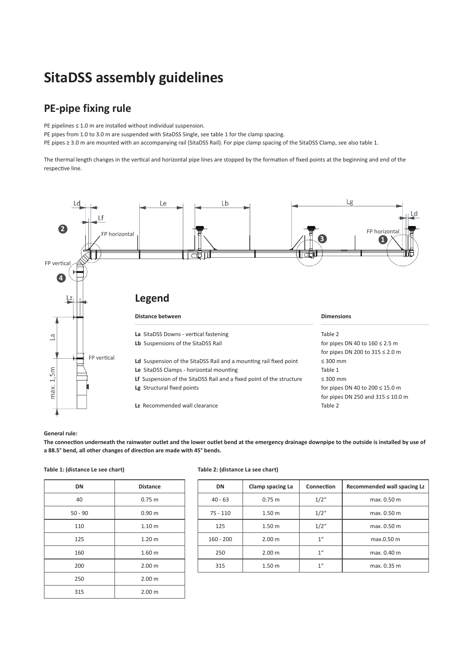# **SitaDSS assembly guidelines**

## **PE-pipe fixing rule**

PE pipelines ≤ 1.0 m are installed without individual suspension.

PE pipes from 1.0 to 3.0 m are suspended with SitaDSS Single, see table 1 for the clamp spacing.

PE pipes ≥ 3.0 m are mounted with an accompanying rail (SitaDSS Rail). For pipe clamp spacing of the SitaDSS Clamp, see also table 1.

The thermal length changes in the vertical and horizontal pipe lines are stopped by the formation of fixed points at the beginning and end of the respective line.



### **General rule:**

**The connection underneath the rainwater outlet and the lower outlet bend at the emergency drainage downpipe to the outside is installed by use of a 88.5° bend, all other changes of direction are made with 45° bends.**

| <b>Distance</b>   |
|-------------------|
| 0.75 m            |
| 0.90 <sub>m</sub> |
| 1.10 <sub>m</sub> |
| 1.20 <sub>m</sub> |
| 1.60 <sub>m</sub> |
| 2.00 <sub>m</sub> |
| 2.00 <sub>m</sub> |
| 2.00 m            |
|                   |

## **Table 1: (distance Le see chart) Table 2: (distance La see chart)**

| <b>DN</b>   | Clamp spacing La  | Connection                   | <b>Recommended wall spacing Lz</b> |
|-------------|-------------------|------------------------------|------------------------------------|
| $40 - 63$   | 0.75 m            | 1/2''                        | max. 0.50 m                        |
| $75 - 110$  | 1.50 <sub>m</sub> | 1/2''                        | max. 0.50 m                        |
| 125         | 1.50 <sub>m</sub> | 1/2''                        | max. 0.50 m                        |
| $160 - 200$ | 2.00 m            | 1 <sup>u</sup><br>max.0.50 m |                                    |
| 250         | 2.00 m            | 1 <sup>u</sup>               | max. 0.40 m                        |
| 315         | 1.50 <sub>m</sub> | 1 <sup>u</sup>               | max. 0.35 m                        |
|             |                   |                              |                                    |